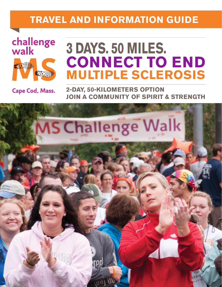## **TRAVEL AND INFORMATION GUIDE**



# **3 DAYS. 50 MILES. CONNECT TO END MULTIPLE SCLEROSIS**

Cape Cod, Mass.

**2-DAY, 50-KILOMETERS OPTION JOIN A COMMUNITY OF SPIRIT & STRENGTH**

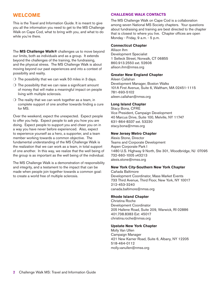## **WELCOME**

This is the Travel and Information Guide. It is meant to give you all the information you need to get to the MS Challenge Walk on Cape Cod, what to bring with you, and what to do while you're there.

The **MS Challenge Walk®** challenges us to move beyond our limits, both as individuals and as a group. It extends beyond the challenges of the training, the fundraising, and the physical stress. The MS Challenge Walk is about moving beyond our past experiences and into a context of possibility and reality.

- $\overline{O}$  The possibility that we can walk 50 miles in 3 days.
- $\overline{O}$  The possibility that we can raise a significant amount of money that will make a meaningful impact on people living with multiple sclerosis.
- $\bigcirc$  The reality that we can work together as a team, in complete support of one another towards finding a cure for MS.

Over the weekend, expect the unexpected. Expect people to offer you help. Expect people to ask you how you are doing. Expect people to support you and cheer you on in a way you have never before experienced. Also, expect to experience yourself as a hero, a supporter, and a team member working towards a common objective. The fundamental understanding of the MS Challenge Walk is the realization that we can work as a team, in total support of one another. In this way, we realize that the well being of the group is as important as the well being of the individual.

The MS Challenge Walk is a demonstration of responsibility and integrity, and a testament to the impact that can be made when people join together towards a common goal: to create a world free of multiple sclerosis.

## **CHALLENGE WALK CONTACTS**

The MS Challenge Walk on Cape Cod is a collaboration among seven National MS Society chapters. Your questions about fundraising and training are best directed to the chapter that is closest to where you live. Chapter offices are open Monday - Friday, 9 a.m. - 5 p.m.

## **Connecticut Chapter**

Allison Ihm Development Specialist 1 Selleck Street, Norwalk, CT 06855 860.913.2550 ext. 52606 allison.ihm@nmss.org

## **Greater New England Chapter**

Aileen Callahan Development Manager, Boston Walks 101A First Avenue, Suite 6, Waltham, MA 02451-1115 781-693-5102 aileen.callahan@nmss.org

## **Long Island Chapter**

Stacy Bona, CFRE Vice President, Campaign Development 40 Marcus Drive, Suite 100, Melville, NY 11747 631-864-8337 ext. 53230 stacy.bona@nmss.org

## **New Jersey Metro Chapter**

Alexis Stone, Director Teams and Corporate Development Aspen Corporate Park I 1480 U.S. Highway 9 North, Ste 301, Woodbridge, NJ 07095 732-660-1005 x43213 alexis.stone@nmss.org

## **New York City-Southern New York Chapter**

Cañada Baltimore Development Coordinator, Mass Market Events 733 Third Avenue, Third Floor, New York, NY 10017 212-453-3240 canada.baltimore@nmss.org

## **Rhode Island Chapter**

Christina Roche Development Coordinator 205 Hallene Road, Suite 209, Warwick, RI 02886 401.738.8383 Ext: 45017 christina.roche@nmss.org

## **Upstate New York Chapter**

Molly Van Ullen Campaign Manager 421 New Karner Road, Suite 6, Albany, NY 12205 518-464-0112 molly.vanullen@nmss.org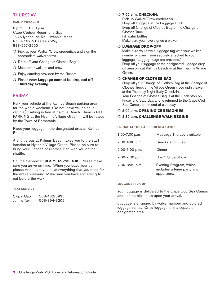## **THURSDAY**

## **EARLY CHECK-IN:**

6 p.m. - 8:30 p.m. Cape Codder Resort and Spa 1225 Iyannough Rd., Hyannis, Mass. Route 132 & Bearse's Way 888-297-2200

- $\bigcirc$  Pick up your Walker/Crew credentials and sign the appropriate waiver forms.
- $\bigcirc$  Drop off your Change of Clothes Bag.
- $\bigcirc$  Meet other walkers and crew.
- $\bigcirc$  Enjoy catering provided by the Resort.
- O Please note: Luggage cannot be dropped off **Thursday evening.**

## FRIDAY

Park your vehicle at the Kalmus Beach parking area for the whole weekend. (Do not leave valuables in vehicle.) Parking is free at Kalmus Beach. There is NO PARKING at the Hyannis Village Green, it will be towed by the Town of Barnstable.

Place your luggage in the designated area at Kalmus Beach.

A shuttle bus at Kalmus Beach takes you to the start location at Hyannis Village Green. Please be sure to bring your Change of Clothes Bag with you on the shuttle.

Shuttle Service: **6:30 a.m. to 7:30 a.m.** Please make sure you arrive on time. When you leave your car, please make sure you have everything that you need for the entire weekend. Make sure you have something to eat before the walk.

## **TAXI SERVICE**

| Skip's Cab  | 508-432-0935 |
|-------------|--------------|
| John's Taxi | 508-394-3209 |

## m **7:00 a.m. CHECK-IN:**

Pick up Walker/Crew credentials. Drop off Luggage at the Luggage Truck. Drop off Change of Clothes Bag at the Change of Clothes Truck. Fill water bottles. Make sure you have signed a waiver.

## O LUGGAGE DROP-OFF

Make sure you have a luggage tag with your walker number or crew name securely attached to your luggage. (Luggage tags are provided.) Drop off your luggage at the designated luggage dropoff area only at Kalmus Beach or at the Hyannis Village Green.

## **O CHANGE OF CLOTHES BAG**

Drop off your Change of Clothes Bag at the Change of Clothes Truck at the Village Green if you didn't leave it at the Thursday Night Early Check-In. Your Change of Clothes Bag is at the lunch stop on Friday and Saturday, and is returned to the Cape Cod Sea Camps at the end of each day.

## O 8:00 a.m. OPENING CEREMONIES

## m **8:30 a.m. CHALLENGE WALK BEGINS**

## **FRIDAY AT THE CAPE COD SEA CAMPS**

| 1:00-7:00 p.m.   | Massage Therapy available                                          |
|------------------|--------------------------------------------------------------------|
| $2:00-4:00 p.m.$ | Snacks and music                                                   |
| 5:00-7:00 p.m.   | Dinner                                                             |
| 7:00-7:30 p.m.   | Day 1 Slide Show                                                   |
| 7:30-8:30 p.m.   | Evening Program, which<br>includes a teme party and<br>appetizers. |

## **LUGGAGE PICK-UP**

Your luggage is delivered to the Cape Cod Sea Camps and can be picked up upon your arrival.

Luggage is arranged by walker number and colored luggage zones. Crew luggage is in a separate designated area.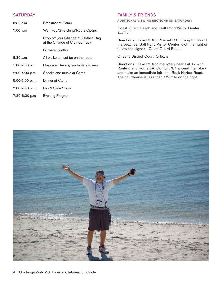## **SATURDAY**

| $5:30$ a.m.      | Breakfast at Camp                                                     |  |
|------------------|-----------------------------------------------------------------------|--|
| $7:00$ a.m.      | Warm-up/Stretching/Route Opens                                        |  |
|                  | Drop off your Change of Clothes Bag<br>at the Change of Clothes Truck |  |
|                  | Fill water bottles                                                    |  |
| $8:30$ a.m.      | All walkers must be on the route                                      |  |
| $1:00-7:00$ p.m. | Massage Therapy available at camp                                     |  |
| 2:00-4:00 p.m.   | Snacks and music at Camp                                              |  |
| 5:00-7:00 p.m.   | Dinner at Camp                                                        |  |
| 7:00-7:30 p.m.   | Day 2 Slide Show                                                      |  |
|                  |                                                                       |  |

## 7:30-8:30 p.m. Evening Program

## FAMILY & FRIENDS

**ADDITIONAL VIEWING SECTIONS ON SATURDAY:**

Coast Guard Beach and Salt Pond Visitor Center, Eastham

Directions - Take Rt. 6 to Nauset Rd. Turn right toward the beaches. Salt Pond Visitor Center is on the right or follow the signs to Coast Guard Beach.

Orleans District Court, Orleans

Directions - Take Rt. 6 to the rotary near exit 12 with Route 6 and Route 6A. Go right 3/4 around the rotary and make an immediate left onto Rock Harbor Road. The courthouse is less than 1/2 mile on the right.

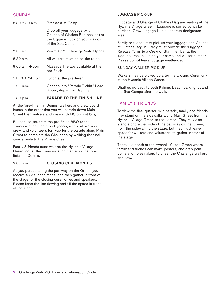## **SUNDAY**

5:30-7:30 a.m. Breakfast at Camp

Drop off your luggage (with

of the Sea Camps.

7:00 a.m. Warm-Up/Stretching/Route Opens

8:30 a.m. All walkers must be on the route

9:00 a.m.-Noon Massage Therapy available at the pre-finish

1:00 p.m. Change into "Parade T-shirt," Load

Buses, depart for Hyannis

11:30-12:45 p.m. Lunch at the pre-finish

Change of Clothes Bag packed) at the luggage truck on your way out

## LUGGAGE PICK-UP

Luggage and Change of Clothes Bag are waiting at the Hyannis Village Green. Luggage is sorted by walker number. Crew luggage is in a separate designated area.

Family or friends may pick up your luggage and Change of Clothes Bag, but they must provide the 'Luggage Release Form' to a Crew or Staff member at the luggage area, including your name and walker number. Please do not leave luggage unattended.

## SUNDAY WALKER PICK-UP

Walkers may be picked up after the Closing Ceremony at the Hyannis Village Green.

Shuttles go back to both Kalmus Beach parking lot and the Sea Camps after the walk.

## FAMILY & FRIENDS

To view the final quarter-mile parade, family and friends may stand on the sidewalks along Main Street from the Hyannis Village Green to the corner. They may also stand along either side of the pathway on the Green, from the sidewalk to the stage, but they must leave space for walkers and volunteers to gather in front of the stage.

There is a booth at the Hyannis Village Green where family and friends can make posters, and grab pompoms and noisemakers to cheer the Challenge walkers and crew.

1:30 p.m. **PARADE TO THE FINISH LINE**  At the 'pre-finish' in Dennis, walkers and crew board buses in the order that you will parade down Main Street (i.e.: walkers and crew with MS on first bus).

Buses take you from the pre-finish BBQ to the Transportation Center in Hyannis, where all walkers, crew, and volunteers form-up for the parade along Main Street to complete the Challenge by walking the final quarter-mile to the Village Green.

Family & friends must wait on the Hyannis Village Green, not at the Transportation Center or the 'prefinish' in Dennis.

## 2:00 p.m. **CLOSING CEREMONIES**

As you parade along the pathway on the Green, you receive a Challenge medal and then gather in front of the stage for the closing ceremonies and speakers. Please keep the line flowing and fill the space in front of the stage.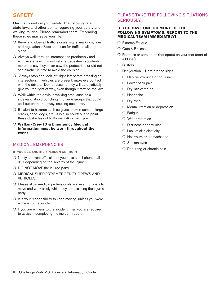## **SAFETY**

Our first priority is your safety. The following are state laws and other points regarding your safety and walking routine. Please remember them. Embracing these rules may save your life.

- $\circ$  Know and obey all traffic signals, signs, markings, laws, and regulations. Stop and scan for traffic at all stop signs.
- $\bigcirc$  Always walk through intersections predictably and with awareness. In most vehicle pedestrian accidents, motorists say they never saw the pedestrian, or did not see him/her in time to avoid the collision.
- $\bigcirc$  Always stop and look left-right-left before crossing an intersection. If vehicles are present, make eye contact with the drivers. Do not assume they will automatically give you the right of way, even though it may be the law.
- $\bigcirc$  Walk within the obvious walking area, such as a sidewalk. Avoid bunching into large groups that could spill out on the roadway, causing accidents.
- $\bigcirc$  Be alert to hazards such as glass, broken cement, large cracks, sand, dogs, etc. It is also courteous to point these obstacles out to those walking with you.
- O Walker/Crew ID & Emergency Medical **Information must be worn throughout the event**

## MEDICAL EMERGENCIES

**IF YOU SEE ANOTHER PERSON GET HURT:**

- $\bigcirc$  Notify an event official, or if you have a cell phone call 911 depending on the severity of the injury.
- $\bigcirc$  DO NOT MOVE the injured party.
- O MEDICAL SUPPORT/EMERGENCY CREWS AND VEHICLES:
- $\bigcirc$  Please allow medical professionals and event officials to move and work freely while they are assisting the injured party.
- $\bigcirc$  It is your responsibility to keep moving, unless you were witness to the incident.
- $\bigcirc$  If you are witness to the incident, then you are required to assist in completing the incident report.

## PLEASE TAKE THE FOLLOWING SITUATIONS SERIOUSLY.

## **IF YOU HAVE ONE OR MORE OF THE FOLLOWING SYMPTOMS, REPORT TO THE MEDICAL TEAM IMMEDIATELY!**

- $\bigcirc$  Extreme Fatigue
- $\bigcirc$  Cuts & Bruises
- $\bigcirc$  Redness or sore spots (hot spots) on your feet (start of a blister)
- $\bigcirc$  Blisters
- $\bigcirc$  Dehydration Here are the signs:
	- $\bigcirc$  Dark yellow urine or no urine
	- $\bigcirc$  Lower back pain
	- $\bigcirc$  Dry, sticky mouth
	- $\bigcirc$  Headache
	- $\bigcirc$  Dry eyes
	- $\bigcirc$  Mental irritation or depression
	- $\bigcirc$  Fatigue
	- $\bigcirc$  Water retention
	- $\bigcirc$  Dizziness or confusion
	- $\bigcirc$  Lack of skin elasticity
	- $\bigcirc$  Heartburn or stomachache
	- $\bigcirc$  Sunken eyes
	- $\bigcirc$  Recurring or chronic pain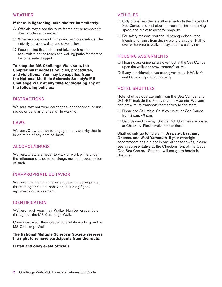## WEATHER

## **If there is lightening, take shelter immediately.**

- $\bigcirc$  Officials may close the route for the day or temporarily due to inclement weather.
- $\bigcirc$  When moving around in the rain, be more cautious. The visibility for both walker and driver is low.
- $\bigcirc$  Keep in mind that it does not take much rain to accumulate on the roads and walking paths for them to become water-logged.

## **To keep the MS Challenge Walk safe, the Chapter must address policies, procedures, and violations. You may be expelled from the National Multiple Sclerosis Society's MS Challenge Walk at any time for violating any of the following policies:**

## **DISTRACTIONS**

Walkers may not wear earphones, headphones, or use radios or cellular phones while walking.

## LAWS

Walkers/Crew are not to engage in any activity that is in violation of any criminal laws.

## ALCOHOL/DRUGS

Walkers/Crew are never to walk or work while under the influence of alcohol or drugs, nor be in possession of such.

## INAPPROPRIATE BEHAVIOR

Walkers/Crew should never engage in inappropriate, threatening or violent behavior, including fights, arguments or harassment.

## IDENTIFICATION

Walkers must wear their Walker Number credentials throughout the MS Challenge Walk.

Crew must wear their credentials while working on the MS Challenge Walk.

## **The National Multiple Sclerosis Society reserves the right to remove participants from the route.**

**Listen and obey event officials.**

## VEHICLES

- $\bigcirc$  Only official vehicles are allowed entry to the Cape Cod Sea Camps and rest stops, because of limited parking space and out of respect for property.
- $\bigcirc$  For safety reasons, you should strongly discourage friends and family from driving along the route. Pulling over or honking at walkers may create a safety risk.

## HOUSING ASSIGNMENTS

- $\overline{O}$  Housing assignments are given out at the Sea Camps upon the walker or crew member's arrival.
- $\bigcirc$  Every consideration has been given to each Walker's and Crew's request for housing.

## HOTEL SHUTTLES

Hotel shuttles operate only from the Sea Camps, and DO NOT include the Friday start in Hyannis. Walkers and crew must transport themselves to the start.

- $\bigcirc$  Friday and Saturday: Shuttles run at the Sea Camps from 2 p.m. - 9 p.m.
- $\bigcirc$  Saturday and Sunday: Shuttle Pick-Up times are posted at Check-In. Please make note of times.

Shuttles only go to hotels in: Brewster, Eastham, Orleans, and West Yarmouth. If your overnight accommodations are not in one of these towns, please see a representative at the Check-in Tent at the Cape Cod Sea Camps. Shuttles will not go to hotels in Hyannis.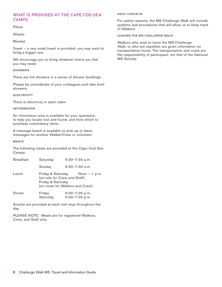## WHAT IS PROVIDED AT THE CAPE COD SEA **CAMPS**

Pillow

Sheets

Blanket

Towel – a very small towel is provided; you may want to bring a bigger one.

We encourage you to bring whatever linens you feel you may need.

#### **SHOWERS**

There are hot showers in a series of shower buildings.

Please be considerate of your colleagues and take brief showers.

**ELECTRICITY**

There is electricity in each cabin.

#### **INFORMATION**

An information area is available for your questions, to help you locate lost and found, and from which to purchase commissary items.

A message board is available to pick up or leave messages for another Walker/Crew or volunteer.

#### **MEALS**

The following meals are provided at the Cape Cod Sea Camps:

| <b>Breakfast</b> | Saturday                                                                                                  |  | $5:30-7:30$ a.m.                     |  |
|------------------|-----------------------------------------------------------------------------------------------------------|--|--------------------------------------|--|
|                  | Sunday                                                                                                    |  | $5:30 - 7:30$ a.m.                   |  |
| Lunch            | Friday & Saturday<br>(on-site for Crew and Staff)<br>Friday & Saturday<br>(en-route for Walkers and Crew) |  | Noon $-1$ p.m.                       |  |
| Dinner           | Friday<br>Saturday                                                                                        |  | $5:00 - 7:00$ p.m.<br>5:00-7:00 p.m. |  |

Snacks are provided at each rest stop throughout the day.

PLEASE NOTE: Meals are for registered Walkers, Crew, and Staff only.

## **DAILY CHECK-IN**

For safety reasons, the MS Challenge Walk will include systems and procedures that will allow us to keep track of Walkers.

## **LEAVING THE MS CHALLENGE WALK**

Walkers who wish to leave the MS Challenge Walk, or who are expelled, are given information on transportation home. The transportation and costs are the responsibility of participant, not that of the National MS Society.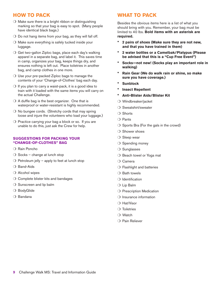## **HOW TO PACK**

- $\bigcirc$  Make sure there is a bright ribbon or distinguishing marking so that your bag is easy to spot. (Many people have identical black bags.)
- $\circ$  Do not hang items from your bag, as they will fall off.
- $\bigcirc$  Make sure everything is safely tucked inside your luggage.
- $\bigcirc$  Get two-gallon Ziploc bags, place each day's walking apparel in a separate bag, and label it. This saves time in camp, organizes your bag, keeps things dry, and ensures nothing is left out. Place toiletries in another bag, and camp clothes in one more.
- $\bigcirc$  Use your pre-packed Ziploc bags to manage the contents of your 'Change-of-Clothes' bag each day.
- $\bigcirc$  If you plan to carry a waist-pack, it is a good idea to train with it loaded with the same items you will carry on the actual Challenge.
- $\bigcirc$  A duffle bag is the best organizer. One that is waterproof or water-resistant is highly recommended.
- $\bigcirc$  No bungee cords. (Stretchy cords that may spring loose and injure the volunteers who load your luggage.)
- $\bigcirc$  Practice carrying your bag a block or so. If you are unable to do this, just ask the Crew for help.

## **SUGGESTIONS FOR PACKING YOUR "CHANGE-OF-CLOTHES" BAG**

- $\bigcirc$  Rain Poncho
- $\bigcirc$  Socks change at lunch stop
- $\bigcirc$  Petroleum jelly apply to feet at lunch stop
- $\bigcirc$  Band-Aids
- $\bigcirc$  Alcohol wipes
- $\bigcirc$  Complete blister kits and bandages
- $\bigcirc$  Sunscreen and lip balm
- $\bigcirc$  BodyGlide
- $\bigcirc$  Bandana

## **WHAT TO PACK**

Besides the obvious items here is a list of what you should bring with you. Remember, your bag must be limited to 40 lbs. **Bold items with an asterisk are required.** 

- **\* 2 pairs of shoes (Make sure they are not new, and that you have trained in them)**
- **\* 2 water bottles or a Camelbak/Platypus (Please be advised that this is a "Cup Free Event")**
- **\* Socks—not new! (Socks play an important role in walking)**
- **\* Rain Gear (We do walk rain or shine, so make sure you have coverage.)**
- **\* Sunblock**
- **\* Insect Repellent**
- **\* Anti-Blister Aids/Blister Kit**
- $\bigcirc$  Windbreaker/jacket
- Sweatshirt/sweater
- $\bigcirc$  Shorts
- $\bigcirc$  Pants
- $\bigcirc$  Sports Bra (For the gals in the crowd)
- $\bigcirc$  Shower shoes
- $\bigcirc$  Sleep wear
- $\bigcirc$  Spending money
- $\bigcirc$  Sunglasses
- O Beach towel or Yoga mat
- $\bigcirc$  Camera
- $\bigcirc$  Flashlight and batteries
- $\bigcirc$  Bath towels
- $\bigcirc$  Identification
- $\bigcirc$  Lip Balm
- O Prescription Medication
- $\bigcirc$  Insurance information
- $\bigcirc$  Hat/Visor
- $\bigcirc$  Toiletries
- $\bigcirc$  Watch
- $\bigcirc$  Pain Reliever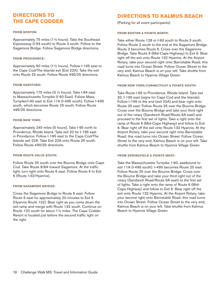## **DIRECTIONS TO THE CAPE CODDER**

#### **FROM BOSTON:**

Approximately 75 miles (1½ hours). Take the Southeast Expressway (I-93 south) to Route 3 south. Follow to the Sagamore Bridge. Follow Sagamore Bridge directions.

#### **FROM PROVIDENCE:**

Approximately 90 miles (1½ hours). Follow I-195 east to the Cape Cod/The Islands exit (Exit 22A). Take the exit onto Route 25 south. Follow Route 495/25 directions.

#### **FROM HARTFORD:**

Approximately 175 miles (3 ½ hours). Take I-84 east to Massachusetts Turnpike (I-90 East). Follow Mass. Turnpike/I-90 east to Exit 11A (I-495 south). Follow I-495 south, which becomes Route 25 south. Follow Route 495/25 directions.

#### **FROM NEW YORK:**

Approximately 245 miles (5 hours). Take I-95 north to Providence, Rhode Island. Take exit 20 for I-195 east in Providence. Follow I-195 east to the Cape Cod/The Islands exit 22A. Take Exit 22A onto Route 25 south. Follow Route 495/25 directions.

## **FROM ROUTE 495/25 SOUTH:**

Follow Route 25 south over the Bourne Bridge onto Cape Cod. Take Route 6/6A toward Sagamore. At the traffic light, turn right onto Route 6 east. Follow Route 6 to Exit 6 (Route 132/Hyannis).

#### **FROM SAGAMORE BRIDGE:**

Cross the Sagamore Bridge to Route 6 east. Follow Route 6 east for approximately 20 minutes to Exit 6 (Hyannis Route 132). Bear right as you come down the exit ramp and merge with Route 132 south. Continue on Route 132 south for about 1½ miles. The Cape Codder Resort is located just before the second traffic light on the right.

## **DIRECTIONS TO KALMUS BEACH**

(Parking for all event participants)

## **FROM BOSTON & POINTS NORTH:**

Take either Route 128 or I-93 south to Route 3 south. Follow Route 3 south to the end at the Sagamore Bridge. Route 3 becomes Route 6. Cross over the Sagamore Bridge. Take Route 6 (Mid-Cape Highway) to Exit 6. Bear right off the exit onto Route 132 Hyannis. At the Airport Rotary, take your second right onto Barnstable Road; this road turns into Ocean Street. Follow Ocean Street to the very end; Kalmus Beach is on your left. Take shuttle from Kalmus Beach to Hyannis Village Green.

#### **FROM NEW YORK/CONNECTICUT & POINTS SOUTH:**

Take Route I-95 to Providence, Rhode Island. Take exit 20, I-195 east (signs for Cape Cod and the Islands). Follow I-195 to the end (exit 22A) and bear right onto Route 25 east. Follow Route 25 over the Bourne Bridge. Cross over the Bourne Bridge and take your third right out of the rotary (Sandwich Road/Route 6A east) and proceed to the first set of lights. Take a right onto the ramp of Route 6 (Mid-Cape Highway) and follow to Exit 6. Bear right off the exit onto Route 132 Hyannis. At the Airport Rotary, take your second right onto Barnstable Road; this road turns into Ocean Street. Follow Ocean Street to the very end; Kalmus Beach is on your left. Take shuttle from Kalmus Beach to Hyannis Village Green.

#### **FROM SPRINGFIELD & POINTS WEST:**

Take the Massachusetts Turnpike, I-90, eastbound to exit 11A (I-495 south). I-495 becomes Route 25 east. Follow Route 25 over the Bourne Bridge. Cross over the Bourne Bridge and take your third right out of the rotary (Sandwich Road/Route 6A east) to the first set of lights. Take a right onto the ramp of Route 6 (Mid-Cape Highway) and follow to Exit 6. Bear right off the exit onto Route 132 Hyannis. At the Airport Rotary, take your second right onto Barnstable Road; this road turns into Ocean Street. Follow Ocean Street to the very end; Kalmus Beach is on your left. Take shuttle from Kalmus Beach to Hyannis Village Green.